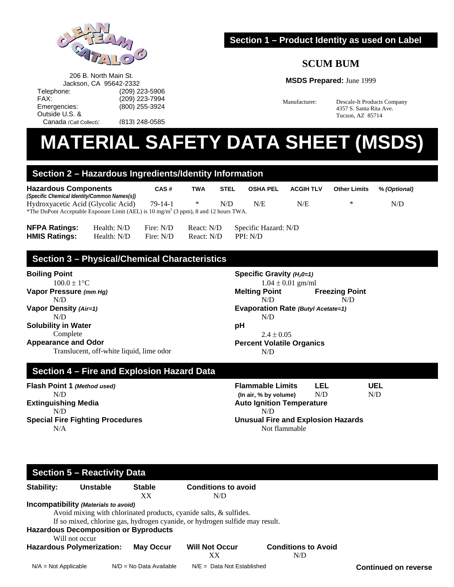

206 B. North Main St. Jackson, CA 95642-2332 Telephone: (209) 223-5906<br>FAX: (209) 223-7994

Emergencies: (800) 255-3924

Canada (Call Collect): (813) 248-0585

## **Section 1 – Product Identity as used on Label**

# **SCUM BUM**

#### **MSDS Prepared:** June 1999

Manufacturer: Descale-It Products Company 4357 S. Santa Rita Ave. Tucson, AZ 85714

# **MATERIAL SAFETY DATA SHEET (MSDS)**

## **Section 2 – Hazardous Ingredients/Identity Information**

(209) 223-7994

| <b>Hazardous Components</b>                                                                      | CAS#          | <b>TWA</b> | <b>STEL</b> | <b>OSHA PEL</b> | <b>ACGIH TLV</b> | <b>Other Limits</b> | % (Optional) |
|--------------------------------------------------------------------------------------------------|---------------|------------|-------------|-----------------|------------------|---------------------|--------------|
| (Specific Chemical Identity/Common Names(s))                                                     |               |            |             |                 |                  |                     |              |
| Hydroxyacetic Acid (Glycolic Acid)                                                               | $79 - 14 - 1$ |            | N/D         | N/E             | N/E              | $\ast$              | N/D          |
| *The DuPont Acceptable Exposure Limit (AEL) is 10 mg/m <sup>3</sup> (3 ppm), 8 and 12 hours TWA. |               |            |             |                 |                  |                     |              |

| <b>NFPA Ratings:</b> | Health: N/D | Fire: N/D | React: N/D | Specific Hazard: N/D |
|----------------------|-------------|-----------|------------|----------------------|
| <b>HMIS Ratings:</b> | Health: N/D | Fire: N/D | React: N/D | PPI: N/D             |

# **Section 3 – Physical/Chemical Characteristics**

**Boiling Point** 

Outside U.S. &

 $100.0 \pm 1$ <sup>o</sup>C **Vapor Pressure** *(mm Hg)* N/D **Vapor Density** *(Air=1)* N/D **Solubility in Water**  Complete **Appearance and Odor** 

Translucent, off-white liquid, lime odor

**Specific Gravity**  $(H_20=1)$  $1.04 \pm 0.01$  gm/ml **Melting Point Freezing Point**  N/D N/D **Evaporation Rate** *(Butyl Acetate=1)* N/D **pH**   $2.4 \pm 0.05$ **Percent Volatile Organics**  N/D

# **Section 4 – Fire and Explosion Hazard Data**

**Flash Point 1** *(Method used)* N/D **Extinguishing Media**  N/D **Special Fire Fighting Procedures**  N/A

**Flammable Limits LEL UEL (In air, % by volume)** N/D N/D **Auto Ignition Temperature**  N/D **Unusual Fire and Explosion Hazards**  Not flammable

#### **Section 5 – Reactivity Data Continued on reverse Stability: Unstable Stable Conditions to avoid**  XX N/D **Incompatibility** *(Materials to avoid)* Avoid mixing with chlorinated products, cyanide salts, & sulfides. If so mixed, chlorine gas, hydrogen cyanide, or hydrogen sulfide may result. **Hazardous Decomposition or Byproducts**  Will not occur **Hazardous Polymerization: May Occur Will Not Occur Conditions to Avoid**  XX N/D N/A = Not Applicable M/D = No Data Available N/E = Data Not Established